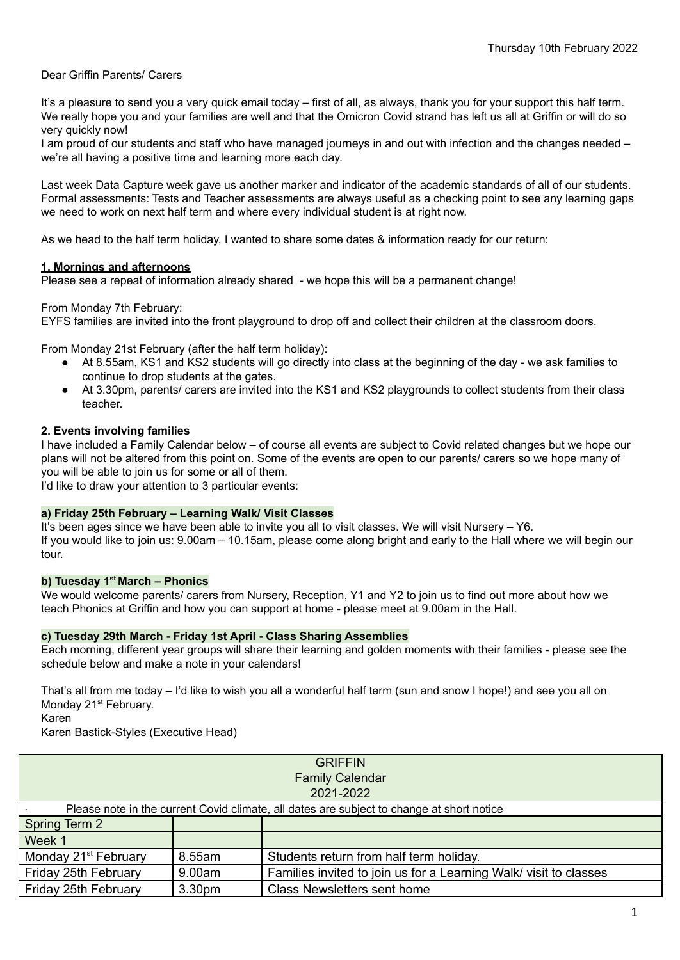Dear Griffin Parents/ Carers

It's a pleasure to send you a very quick email today – first of all, as always, thank you for your support this half term. We really hope you and your families are well and that the Omicron Covid strand has left us all at Griffin or will do so very quickly now!

I am proud of our students and staff who have managed journeys in and out with infection and the changes needed – we're all having a positive time and learning more each day.

Last week Data Capture week gave us another marker and indicator of the academic standards of all of our students. Formal assessments: Tests and Teacher assessments are always useful as a checking point to see any learning gaps we need to work on next half term and where every individual student is at right now.

As we head to the half term holiday, I wanted to share some dates & information ready for our return:

# **1. Mornings and afternoons**

Please see a repeat of information already shared - we hope this will be a permanent change!

From Monday 7th February:

EYFS families are invited into the front playground to drop off and collect their children at the classroom doors.

From Monday 21st February (after the half term holiday):

- At 8.55am, KS1 and KS2 students will go directly into class at the beginning of the day we ask families to continue to drop students at the gates.
- At 3.30pm, parents/ carers are invited into the KS1 and KS2 playgrounds to collect students from their class teacher.

## **2. Events involving families**

I have included a Family Calendar below – of course all events are subject to Covid related changes but we hope our plans will not be altered from this point on. Some of the events are open to our parents/ carers so we hope many of you will be able to join us for some or all of them.

I'd like to draw your attention to 3 particular events:

## **a) Friday 25th February – Learning Walk/ Visit Classes**

It's been ages since we have been able to invite you all to visit classes. We will visit Nursery – Y6. If you would like to join us: 9.00am – 10.15am, please come along bright and early to the Hall where we will begin our tour.

## **b) Tuesday 1 st March – Phonics**

We would welcome parents/ carers from Nursery, Reception, Y1 and Y2 to join us to find out more about how we teach Phonics at Griffin and how you can support at home - please meet at 9.00am in the Hall.

## **c) Tuesday 29th March - Friday 1st April - Class Sharing Assemblies**

Each morning, different year groups will share their learning and golden moments with their families - please see the schedule below and make a note in your calendars!

That's all from me today – I'd like to wish you all a wonderful half term (sun and snow I hope!) and see you all on Monday 21<sup>st</sup> February.

Karen

Karen Bastick-Styles (Executive Head)

| <b>GRIFFIN</b>                                                                            |                    |                                                                   |  |  |
|-------------------------------------------------------------------------------------------|--------------------|-------------------------------------------------------------------|--|--|
| <b>Family Calendar</b>                                                                    |                    |                                                                   |  |  |
| 2021-2022                                                                                 |                    |                                                                   |  |  |
| Please note in the current Covid climate, all dates are subject to change at short notice |                    |                                                                   |  |  |
| <b>Spring Term 2</b>                                                                      |                    |                                                                   |  |  |
| Week 1                                                                                    |                    |                                                                   |  |  |
| Monday 21 <sup>st</sup> February                                                          | 8.55am             | Students return from half term holiday.                           |  |  |
| Friday 25th February                                                                      | 9.00am             | Families invited to join us for a Learning Walk/ visit to classes |  |  |
| Friday 25th February                                                                      | 3.30 <sub>pm</sub> | <b>Class Newsletters sent home</b>                                |  |  |